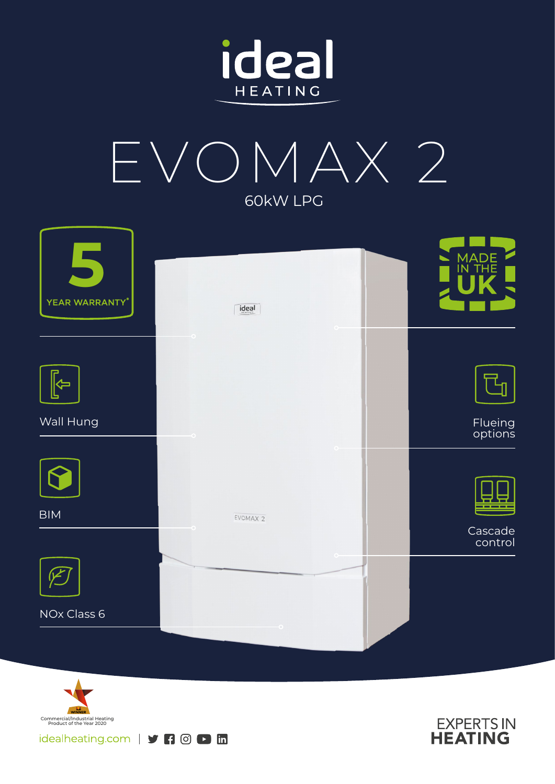



| YEAR WARRANTY* | ideal    | MADE<br>IN THE     |
|----------------|----------|--------------------|
|                | $\circ$  |                    |
| 与              |          |                    |
| Wall Hung      |          | Flueing<br>options |
|                |          |                    |
| <b>BIM</b>     | EVOMAX 2 |                    |
|                |          | Cascade<br>control |
|                |          |                    |
| NOx Class 6    |          |                    |
|                |          |                    |



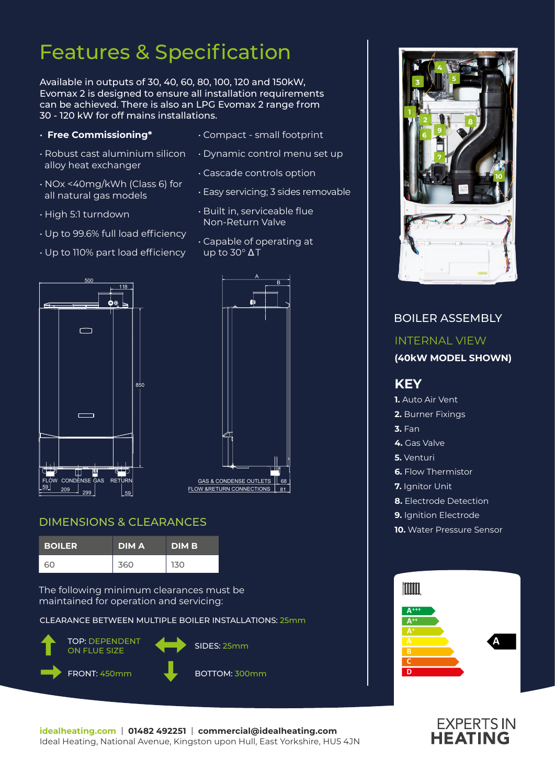# Features & Specification

Available in outputs of 30, 40, 60, 80, 100, 120 and 150kW, Evomax 2 is designed to ensure all installation requirements can be achieved. There is also an LPG Evomax 2 range from 30 - 120 kW for off mains installations.

- **Free Commissioning\***
- Robust cast aluminium silicon alloy heat exchanger
- NOx <40mg/kWh (Class 6) for all natural gas models
- High 5:1 turndown
- Up to 99.6% full load efficiency
- Up to 110% part load efficiency
- Compact small footprint
- Dynamic control menu set up
- Cascade controls option
- Easy servicing; 3 sides removable
- Built in, serviceable flue Non-Return Valve
- Capable of operating at up to 30° Δ T





### DIMENSIONS & CLEARANCES

| <b>BOILER</b> | <b>DIMA</b> | <b>DIMB</b> |
|---------------|-------------|-------------|
| 60            | 360         | 130         |

The following minimum clearances must be maintained for operation and servicing:

CLEARANCE BETWEEN MULTIPLE BOILER INSTALLATIONS: 25mm





### BOILER ASSEMBLY INTERNAL VIEW **(40kW MODEL SHOWN) KEY 1.** Auto Air Vent **2.** Burner Fixings **3.** Fan **4.** Gas Valve **5.** Venturi **6.** Flow Thermistor **7.** Ianitor Unit **8.** Electrode Detection **9.** Ignition Electrode **10.** Water Pressure Sensor Imm **A+++ A++ A**



**A**

**C D**

**idealheating.com** | **01482 492251** | **commercial@idealheating.com**  Ideal Heating, National Avenue, Kingston upon Hull, East Yorkshire, HU5 4JN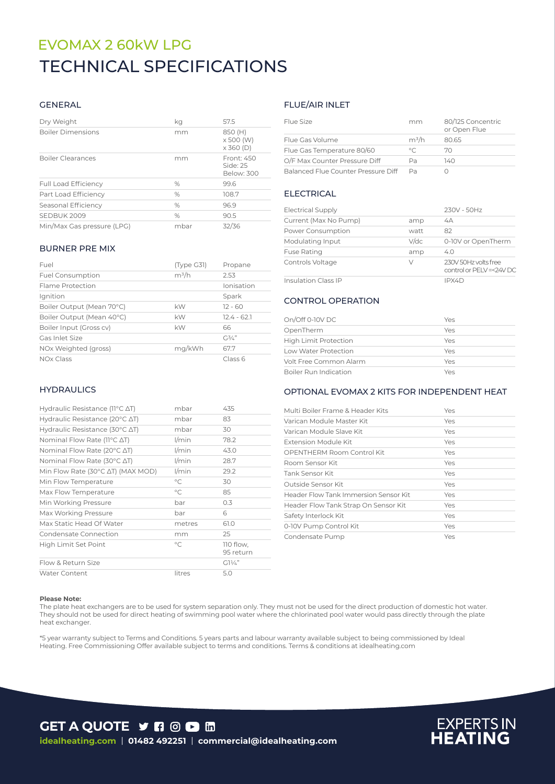## EVOMAX 2 60kW LPG TECHNICAL SPECIFICATIONS

### GENERAL

| Dry Weight                  | kq   | 57.5                                            |
|-----------------------------|------|-------------------------------------------------|
| <b>Boiler Dimensions</b>    | mm   | 850 (H)<br>$\times$ 500 (W)<br>$\times$ 360 (D) |
| <b>Boiler Clearances</b>    | mm   | Front: 450<br>Side: 25<br>Below: 300            |
| <b>Full Load Efficiency</b> | %    | 99.6                                            |
| Part Load Efficiency        | $\%$ | 108.7                                           |
| Seasonal Efficiency         | $\%$ | 96.9                                            |
| SEDBUK 2009                 | $\%$ | 90.5                                            |
| Min/Max Gas pressure (LPG)  | mbar | 32/36                                           |

#### BURNER PRE MIX

| Fuel                      | (Type G31) | Propane       |
|---------------------------|------------|---------------|
| <b>Fuel Consumption</b>   | $m^3/h$    | 2.53          |
| Flame Protection          |            | Ionisation    |
| Ignition                  |            | Spark         |
| Boiler Output (Mean 70°C) | kW         | $12 - 60$     |
| Boiler Output (Mean 40°C) | kW         | $12.4 - 62.1$ |
| Boiler Input (Gross cv)   | kW         | 66            |
| Gas Inlet Size            |            | $G^{3/2}$     |
| NOx Weighted (gross)      | mg/kWh     | 67.7          |
| NO <sub>x</sub> Class     |            | Class 6       |

### **HYDRAULICS**

| Hydraulic Resistance ( $11^{\circ}$ C $\Delta$ T)   | mbar         | 435                    |
|-----------------------------------------------------|--------------|------------------------|
| Hydraulic Resistance (20 $\degree$ C $\triangle$ T) | mbar         | 83                     |
| Hydraulic Resistance (30 $\degree$ C $\triangle$ T) | mbar         | 30                     |
| Nominal Flow Rate (11°C ∆T)                         | $1/m$ in     | 78.2                   |
| Nominal Flow Rate (20 $\degree$ C $\triangle$ T)    | l/min        | 43.0                   |
| Nominal Flow Rate (30 $\degree$ C $\triangle$ T)    | l/min        | 28.7                   |
| Min Flow Rate (30°C AT) (MAX MOD)                   | $1/m$ in     | 29.2                   |
| Min Flow Temperature                                | $^{\circ}$ C | 30                     |
| Max Flow Temperature                                | $^{\circ}$ C | 85                     |
| Min Working Pressure                                | bar          | 0.3                    |
| Max Working Pressure                                | bar          | 6                      |
| Max Static Head Of Water                            | metres       | 61.0                   |
| Condensate Connection                               | mm           | 25                     |
| High Limit Set Point                                | $^{\circ}$ C | 110 flow,<br>95 return |
| Flow & Return Size                                  |              | $GIy/4$ "              |
| <b>Water Content</b>                                | litres       | 5.0                    |

### FLUE/AIR INLET

| Flue Size                           | mm      | 80/125 Concentric<br>or Open Flue |
|-------------------------------------|---------|-----------------------------------|
| Flue Gas Volume                     | $m^3/h$ | 80.65                             |
| Flue Gas Temperature 80/60          | $\circ$ | 70                                |
| O/F Max Counter Pressure Diff       | Pa      | 140                               |
| Balanced Flue Counter Pressure Diff | Da      |                                   |

### ELECTRICAL

| <b>Electrical Supply</b>   |         | 230V - 50Hz                                       |
|----------------------------|---------|---------------------------------------------------|
| Current (Max No Pump)      | amp     | 4A                                                |
| Power Consumption          | watt    | 82                                                |
| Modulating Input           | $V$ /dc | 0-10V or OpenTherm                                |
| <b>Fuse Rating</b>         | amp     | 4.0                                               |
| Controls Voltage           | V       | 230V 50Hz volts free<br>control or PELV =< 24V DC |
| <b>Insulation Class IP</b> |         | IPX4D                                             |

### CONTROL OPERATION

| On/Off 0-10V DC              | Yes |
|------------------------------|-----|
| OpenTherm                    | Yes |
| <b>High Limit Protection</b> | Yes |
| Low Water Protection         | Yes |
| Volt Free Common Alarm       | Yes |
| Boiler Run Indication        | Yes |

### OPTIONAL EVOMAX 2 KITS FOR INDEPENDENT HEAT

| Multi Boiler Frame & Header Kits      | Yes |  |
|---------------------------------------|-----|--|
| Varican Module Master Kit             | Yes |  |
| Varican Module Slave Kit              | Yes |  |
| Extension Module Kit                  | Yes |  |
| OPENTHERM Room Control Kit            | Yes |  |
| Room Sensor Kit                       | Yes |  |
| <b>Tank Sensor Kit</b>                | Yes |  |
| Outside Sensor Kit                    | Yes |  |
| Header Flow Tank Immersion Sensor Kit | Yes |  |
| Header Flow Tank Strap On Sensor Kit  | Yes |  |
| Safety Interlock Kit                  | Yes |  |
| 0-10V Pump Control Kit                | Yes |  |
| Condensate Pump                       | Yes |  |

#### **Please Note:**

The plate heat exchangers are to be used for system separation only. They must not be used for the direct production of domestic hot water. They should not be used for direct heating of swimming pool water where the chlorinated pool water would pass directly through the plate heat exchanger.

\*5 year warranty subject to Terms and Conditions. 5 years parts and labour warranty available subject to being commissioned by Ideal Heating. Free Commissioning Offer available subject to terms and conditions. Terms & conditions at idealheating.com



# **EXPERTS IN**<br>**HEATING**